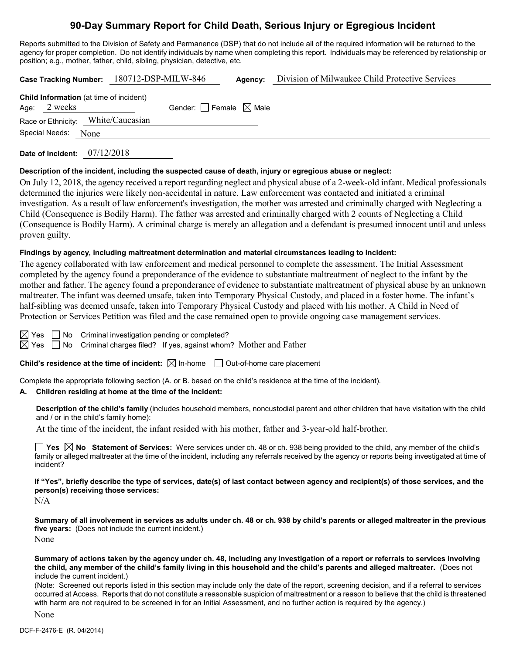# **90-Day Summary Report for Child Death, Serious Injury or Egregious Incident**

Reports submitted to the Division of Safety and Permanence (DSP) that do not include all of the required information will be returned to the agency for proper completion. Do not identify individuals by name when completing this report. Individuals may be referenced by relationship or position; e.g., mother, father, child, sibling, physician, detective, etc.

|                                                                |  | Case Tracking Number: 180712-DSP-MILW-846 |                                     | Agency: | Division of Milwaukee Child Protective Services |
|----------------------------------------------------------------|--|-------------------------------------------|-------------------------------------|---------|-------------------------------------------------|
| <b>Child Information</b> (at time of incident)<br>Age: 2 weeks |  |                                           | Gender: $ $ Female $\boxtimes$ Male |         |                                                 |
| Race or Ethnicity: White/Caucasian                             |  |                                           |                                     |         |                                                 |
| Special Needs: None                                            |  |                                           |                                     |         |                                                 |
|                                                                |  |                                           |                                     |         |                                                 |

**Date of Incident:** 07/12/2018

#### **Description of the incident, including the suspected cause of death, injury or egregious abuse or neglect:**

On July 12, 2018, the agency received a report regarding neglect and physical abuse of a 2-week-old infant. Medical professionals determined the injuries were likely non-accidental in nature. Law enforcement was contacted and initiated a criminal investigation. As a result of law enforcement's investigation, the mother was arrested and criminally charged with Neglecting a Child (Consequence is Bodily Harm). The father was arrested and criminally charged with 2 counts of Neglecting a Child (Consequence is Bodily Harm). A criminal charge is merely an allegation and a defendant is presumed innocent until and unless proven guilty.

#### **Findings by agency, including maltreatment determination and material circumstances leading to incident:**

The agency collaborated with law enforcement and medical personnel to complete the assessment. The Initial Assessment completed by the agency found a preponderance of the evidence to substantiate maltreatment of neglect to the infant by the mother and father. The agency found a preponderance of evidence to substantiate maltreatment of physical abuse by an unknown maltreater. The infant was deemed unsafe, taken into Temporary Physical Custody, and placed in a foster home. The infant's half-sibling was deemed unsafe, taken into Temporary Physical Custody and placed with his mother. A Child in Need of Protection or Services Petition was filed and the case remained open to provide ongoing case management services.

 $\boxtimes$  Yes  $\Box$  No Criminal investigation pending or completed?

 $\boxtimes$  Yes  $\Box$  No Criminal charges filed? If yes, against whom? Mother and Father

**Child's residence at the time of incident:**  $\boxtimes$  In-home  $\Box$  Out-of-home care placement

Complete the appropriate following section (A. or B. based on the child's residence at the time of the incident).

#### **A. Children residing at home at the time of the incident:**

**Description of the child's family** (includes household members, noncustodial parent and other children that have visitation with the child and / or in the child's family home):

At the time of the incident, the infant resided with his mother, father and 3-year-old half-brother.

**Yes**  $\boxtimes$  **No** Statement of Services: Were services under ch. 48 or ch. 938 being provided to the child, any member of the child's family or alleged maltreater at the time of the incident, including any referrals received by the agency or reports being investigated at time of incident?

**If "Yes", briefly describe the type of services, date(s) of last contact between agency and recipient(s) of those services, and the person(s) receiving those services:**

N/A

**Summary of all involvement in services as adults under ch. 48 or ch. 938 by child's parents or alleged maltreater in the previous five years:** (Does not include the current incident.) None

**Summary of actions taken by the agency under ch. 48, including any investigation of a report or referrals to services involving the child, any member of the child's family living in this household and the child's parents and alleged maltreater.** (Does not include the current incident.)

(Note: Screened out reports listed in this section may include only the date of the report, screening decision, and if a referral to services occurred at Access. Reports that do not constitute a reasonable suspicion of maltreatment or a reason to believe that the child is threatened with harm are not required to be screened in for an Initial Assessment, and no further action is required by the agency.)

None